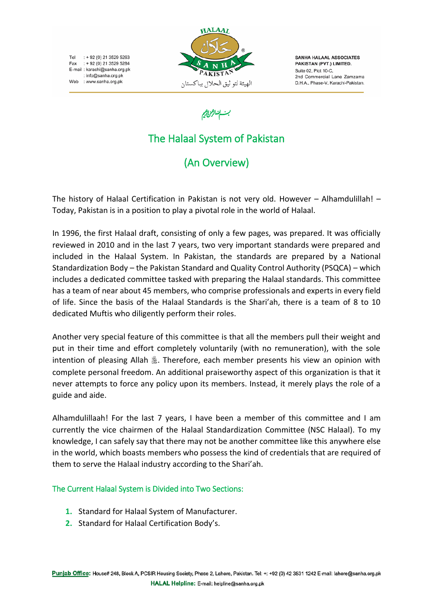Tel: +92 (0) 21 3529 5263 Fax : + 92 (0) 21 3529 5284 E-mail: karachi@sanha.org.pk : info@sanha.org.pk Web : www.sanha.org.pk



SANHA HALAAL ASSOCIATES PAKISTAN (PVT.) LIMITED. Suite 02, Plot 10-C 2nd Commercial Lane Zamzama D.H.A., Phase-V, Karachi-Pakistan.

# بسابتها الزمرارقيم

# The Halaal System of Pakistan

(An Overview)

The history of Halaal Certification in Pakistan is not very old. However – Alhamdulillah! – Today, Pakistan is in a position to play a pivotal role in the world of Halaal.

In 1996, the first Halaal draft, consisting of only a few pages, was prepared. It was officially reviewed in 2010 and in the last 7 years, two very important standards were prepared and included in the Halaal System. In Pakistan, the standards are prepared by a National Standardization Body – the Pakistan Standard and Quality Control Authority (PSQCA) – which includes a dedicated committee tasked with preparing the Halaal standards. This committee has a team of near about 45 members, who comprise professionals and experts in every field of life. Since the basis of the Halaal Standards is the Shari'ah, there is a team of 8 to 10 dedicated Muftis who diligently perform their roles.

Another very special feature of this committee is that all the members pull their weight and put in their time and effort completely voluntarily (with no remuneration), with the sole intention of pleasing Allah &. Therefore, each member presents his view an opinion with complete personal freedom. An additional praiseworthy aspect of this organization is that it never attempts to force any policy upon its members. Instead, it merely plays the role of a guide and aide.

Alhamdulillaah! For the last 7 years, I have been a member of this committee and I am currently the vice chairmen of the Halaal Standardization Committee (NSC Halaal). To my knowledge, I can safely say that there may not be another committee like this anywhere else in the world, which boasts members who possess the kind of credentials that are required of them to serve the Halaal industry according to the Shari'ah.

#### The Current Halaal System is Divided into Two Sections:

- **1.** Standard for Halaal System of Manufacturer.
- **2.** Standard for Halaal Certification Body's.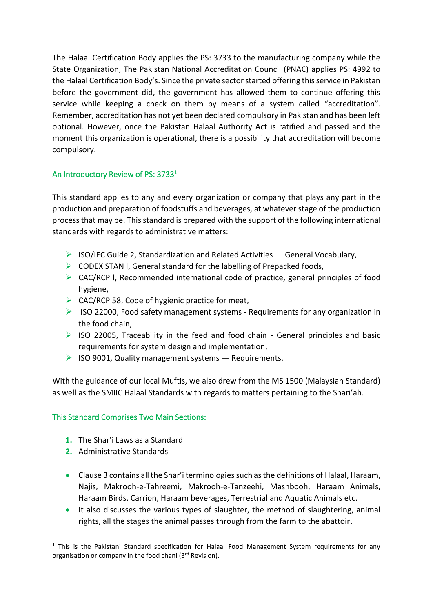The Halaal Certification Body applies the PS: 3733 to the manufacturing company while the State Organization, The Pakistan National Accreditation Council (PNAC) applies PS: 4992 to the Halaal Certification Body's. Since the private sector started offering this service in Pakistan before the government did, the government has allowed them to continue offering this service while keeping a check on them by means of a system called "accreditation". Remember, accreditation has not yet been declared compulsory in Pakistan and has been left optional. However, once the Pakistan Halaal Authority Act is ratified and passed and the moment this organization is operational, there is a possibility that accreditation will become compulsory.

## An Introductory Review of PS: 3733<sup>1</sup>

This standard applies to any and every organization or company that plays any part in the production and preparation of foodstuffs and beverages, at whatever stage of the production process that may be. This standard is prepared with the support of the following international standards with regards to administrative matters:

- $\triangleright$  ISO/IEC Guide 2, Standardization and Related Activities General Vocabulary,
- $\triangleright$  CODEX STAN I, General standard for the labelling of Prepacked foods,
- ➢ CAC/RCP l, Recommended international code of practice, general principles of food hygiene,
- $\triangleright$  CAC/RCP 58, Code of hygienic practice for meat,
- ➢ ISO 22000, Food safety management systems Requirements for any organization in the food chain,
- $\triangleright$  ISO 22005, Traceability in the feed and food chain General principles and basic requirements for system design and implementation,
- $\triangleright$  ISO 9001, Quality management systems  $-$  Requirements.

With the guidance of our local Muftis, we also drew from the MS 1500 (Malaysian Standard) as well as the SMIIC Halaal Standards with regards to matters pertaining to the Shari'ah.

#### This Standard Comprises Two Main Sections:

- **1.** The Shar'i Laws as a Standard
- **2.** Administrative Standards

1

- Clause 3 contains all the Shar'i terminologies such as the definitions of Halaal, Haraam, Najis, Makrooh-e-Tahreemi, Makrooh-e-Tanzeehi, Mashbooh, Haraam Animals, Haraam Birds, Carrion, Haraam beverages, Terrestrial and Aquatic Animals etc.
- It also discusses the various types of slaughter, the method of slaughtering, animal rights, all the stages the animal passes through from the farm to the abattoir.

 $1$  This is the Pakistani Standard specification for Halaal Food Management System requirements for any organisation or company in the food chani (3rd Revision).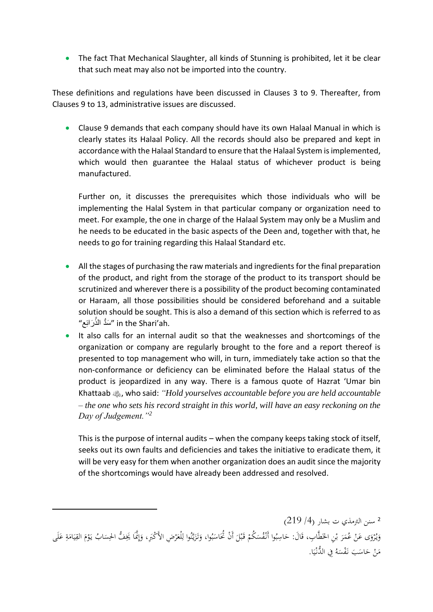• The fact That Mechanical Slaughter, all kinds of Stunning is prohibited, let it be clear that such meat may also not be imported into the country.

These definitions and regulations have been discussed in Clauses 3 to 9. Thereafter, from Clauses 9 to 13, administrative issues are discussed.

• Clause 9 demands that each company should have its own Halaal Manual in which is clearly states its Halaal Policy. All the records should also be prepared and kept in accordance with the Halaal Standard to ensure that the Halaal System is implemented, which would then guarantee the Halaal status of whichever product is being manufactured.

Further on, it discusses the prerequisites which those individuals who will be implementing the Halal System in that particular company or organization need to meet. For example, the one in charge of the Halaal System may only be a Muslim and he needs to be educated in the basic aspects of the Deen and, together with that, he needs to go for training regarding this Halaal Standard etc.

- All the stages of purchasing the raw materials and ingredients for the final preparation of the product, and right from the storage of the product to its transport should be scrutinized and wherever there is a possibility of the product becoming contaminated or Haraam, all those possibilities should be considered beforehand and a suitable solution should be sought. This is also a demand of this section which is referred to as m the Shari'ah. "سَدُّ الذُّرَائِع"
- It also calls for an internal audit so that the weaknesses and shortcomings of the organization or company are regularly brought to the fore and a report thereof is presented to top management who will, in turn, immediately take action so that the non-conformance or deficiency can be eliminated before the Halaal status of the product is jeopardized in any way. There is a famous quote of Hazrat 'Umar bin Khattaab , who said: *"Hold yourselves accountable before you are held accountable – the one who sets his record straight in this world, will have an easy reckoning on the Day of Judgement."<sup>2</sup>*

This is the purpose of internal audits – when the company keeps taking stock of itself, seeks out its own faults and deficiencies and takes the initiative to eradicate them, it will be very easy for them when another organization does an audit since the majority of the shortcomings would have already been addressed and resolved.

2 سنن الترمذي ت بشار (4/ 219) وَيُرْوَى عَنْ عُمَرَ بْنِ الخَطَّابِ، قَالَ: حَاسِبُوا أَنْفُسَكُمْ قَبْلَ أَنْ تُحَاسَبُوا، وَتَزَيَّنُوا لِلْعَرْضِ الأَكْبَرِ، وَإِنَّمَا يَخِفُّ الحِسَابُ يَوْمَ القِيَامَةِ عَلَى ْ ب .<br>ن َ ْ .<br>. َ إ َ ِ<br>پ יִ<br>: ر<br>أ َ ِ<br>ل َ َ ب  $\ddot{\phantom{0}}$ ٔ.  $\overline{\phantom{0}}$ ب َ ْ  $\ddot{\phantom{0}}$ ب َ َ َ ٍ<br>ق  $\overline{\phantom{a}}$ ้<br>∶ิ์ ي ِ. َ ْ يا<br>.  $\ddot{\phantom{0}}$ مَنْ حَاسَبَ نَفْسَهُ فِي الدُّنْيَا.<br>. ا<br>ا ي ْ  $\overline{a}$ َ ا<br>ا

-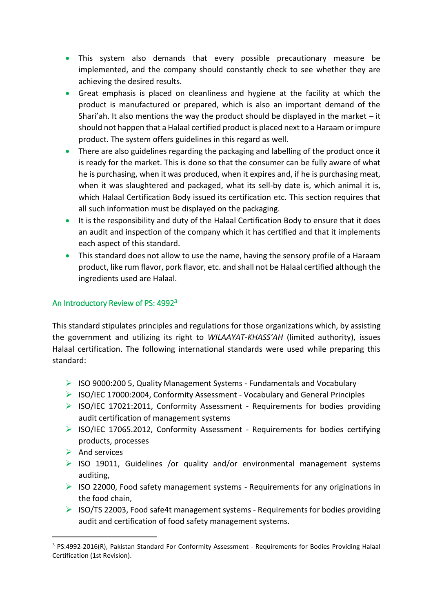- This system also demands that every possible precautionary measure be implemented, and the company should constantly check to see whether they are achieving the desired results.
- Great emphasis is placed on cleanliness and hygiene at the facility at which the product is manufactured or prepared, which is also an important demand of the Shari'ah. It also mentions the way the product should be displayed in the market  $-$  it should not happen that a Halaal certified product is placed next to a Haraam or impure product. The system offers guidelines in this regard as well.
- There are also guidelines regarding the packaging and labelling of the product once it is ready for the market. This is done so that the consumer can be fully aware of what he is purchasing, when it was produced, when it expires and, if he is purchasing meat, when it was slaughtered and packaged, what its sell-by date is, which animal it is, which Halaal Certification Body issued its certification etc. This section requires that all such information must be displayed on the packaging.
- It is the responsibility and duty of the Halaal Certification Body to ensure that it does an audit and inspection of the company which it has certified and that it implements each aspect of this standard.
- This standard does not allow to use the name, having the sensory profile of a Haraam product, like rum flavor, pork flavor, etc. and shall not be Halaal certified although the ingredients used are Halaal.

## An Introductory Review of PS: 4992<sup>3</sup>

This standard stipulates principles and regulations for those organizations which, by assisting the government and utilizing its right to *WILAAYAT-KHASS'AH* (limited authority), issues Halaal certification. The following international standards were used while preparing this standard:

- $\triangleright$  ISO 9000:200 5, Quality Management Systems Fundamentals and Vocabulary
- ➢ ISO/IEC 17000:2004, Conformity Assessment Vocabulary and General Principles
- $\triangleright$  ISO/IEC 17021:2011, Conformity Assessment Requirements for bodies providing audit certification of management systems
- $\triangleright$  ISO/IEC 17065.2012, Conformity Assessment Requirements for bodies certifying products, processes
- $\triangleright$  And services
- ➢ ISO 19011, Guidelines /or quality and/or environmental management systems auditing,
- $\triangleright$  ISO 22000, Food safety management systems Requirements for any originations in the food chain,
- $\triangleright$  ISO/TS 22003, Food safe4t management systems Requirements for bodies providing audit and certification of food safety management systems.

<sup>1</sup> <sup>3</sup> PS:4992-2016(R), Pakistan Standard For Conformity Assessment - Requirements for Bodies Providing Halaal Certification (1st Revision).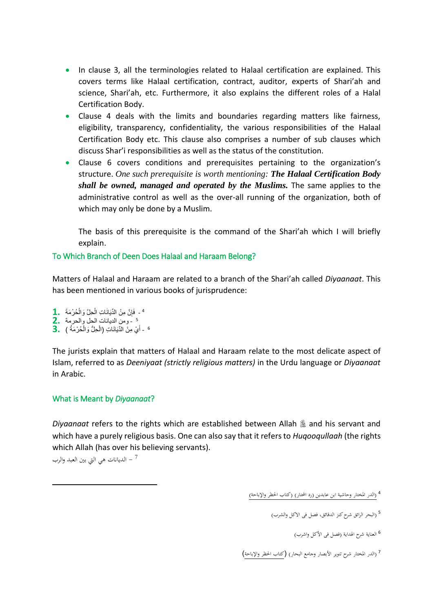- In clause 3, all the terminologies related to Halaal certification are explained. This covers terms like Halaal certification, contract, auditor, experts of Shari'ah and science, Shari'ah, etc. Furthermore, it also explains the different roles of a Halal Certification Body.
- Clause 4 deals with the limits and boundaries regarding matters like fairness, eligibility, transparency, confidentiality, the various responsibilities of the Halaal Certification Body etc. This clause also comprises a number of sub clauses which discuss Shar'i responsibilities as well as the status of the constitution.
- Clause 6 covers conditions and prerequisites pertaining to the organization's structure. *One such prerequisite is worth mentioning: The Halaal Certification Body shall be owned, managed and operated by the Muslims.* The same applies to the administrative control as well as the over-all running of the organization, both of which may only be done by a Muslim.

The basis of this prerequisite is the command of the Shari'ah which I will briefly explain.

#### To Which Branch of Deen Does Halaal and Haraam Belong?

Matters of Halaal and Haraam are related to a branch of the Shari'ah called *Diyaanaat*. This has been mentioned in various books of jurisprudence:

- <sup>4</sup> فَإِنَّ مِنْ الدِّيَانَاتِ الْحِلَّ وَالْحُرْمَةَ **1.** ْ ْ ِ
- ومن الديانات الحل والحرمة **2.** 5
- <sup>6</sup> أَيْ مِنْ الدِّيَانَاتِ (الْحِلُّ وَالْحُرْمَةُ ) **3.** ْ ْ َ

The jurists explain that matters of Halaal and Haraam relate to the most delicate aspect of Islam, referred to as *Deeniyaat (strictly religious matters)* in the Urdu language or *Diyaanaat*  in Arabic.

#### What is Meant by *Diyaanaat*?

*Diyaanaat* refers to the rights which are established between Allah  $\frac{1}{20}$  and his servant and which have a purely religious basis. One can also say that it refers to *Huqooqullaah* (the rights which Allah (has over his believing servants).

7 – الديانات هي التي بين العبد والرب

-

7 (الدر المختار شرح تنوير الأبصار وحامع البحار) (كتاب الحظر والإباحة)

<sup>&</sup>lt;sup>4</sup> (الدر المختار وحاشية ابن عابدين (رد المحتار) (كتاب الحظر والإباحة)

<sup>&</sup>lt;sup>5</sup> (البحر الرائق شرح كنز الدقائق، فصل في الاكل والشرب)

<sup>&</sup>lt;sup>6</sup> العناية شرح الهداية (فصل في الأكل واشرب)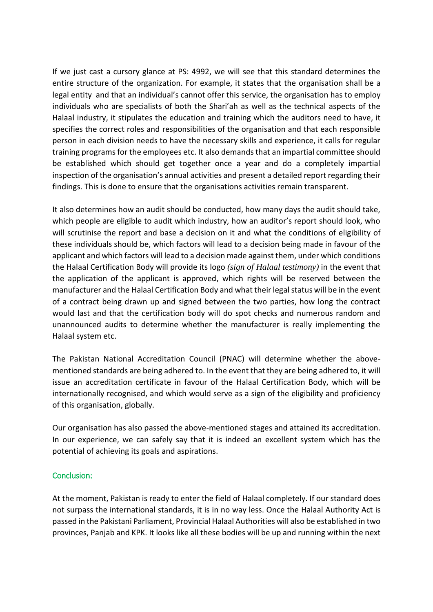If we just cast a cursory glance at PS: 4992, we will see that this standard determines the entire structure of the organization. For example, it states that the organisation shall be a legal entity and that an individual's cannot offer this service, the organisation has to employ individuals who are specialists of both the Shari'ah as well as the technical aspects of the Halaal industry, it stipulates the education and training which the auditors need to have, it specifies the correct roles and responsibilities of the organisation and that each responsible person in each division needs to have the necessary skills and experience, it calls for regular training programs for the employees etc. It also demands that an impartial committee should be established which should get together once a year and do a completely impartial inspection of the organisation's annual activities and present a detailed report regarding their findings. This is done to ensure that the organisations activities remain transparent.

It also determines how an audit should be conducted, how many days the audit should take, which people are eligible to audit which industry, how an auditor's report should look, who will scrutinise the report and base a decision on it and what the conditions of eligibility of these individuals should be, which factors will lead to a decision being made in favour of the applicant and which factors will lead to a decision made against them, under which conditions the Halaal Certification Body will provide its logo *(sign of Halaal testimony)* in the event that the application of the applicant is approved, which rights will be reserved between the manufacturer and the Halaal Certification Body and what their legal status will be in the event of a contract being drawn up and signed between the two parties, how long the contract would last and that the certification body will do spot checks and numerous random and unannounced audits to determine whether the manufacturer is really implementing the Halaal system etc.

The Pakistan National Accreditation Council (PNAC) will determine whether the abovementioned standards are being adhered to. In the event that they are being adhered to, it will issue an accreditation certificate in favour of the Halaal Certification Body, which will be internationally recognised, and which would serve as a sign of the eligibility and proficiency of this organisation, globally.

Our organisation has also passed the above-mentioned stages and attained its accreditation. In our experience, we can safely say that it is indeed an excellent system which has the potential of achieving its goals and aspirations.

#### Conclusion:

At the moment, Pakistan is ready to enter the field of Halaal completely. If our standard does not surpass the international standards, it is in no way less. Once the Halaal Authority Act is passed in the Pakistani Parliament, Provincial Halaal Authorities will also be established in two provinces, Panjab and KPK. It looks like all these bodies will be up and running within the next